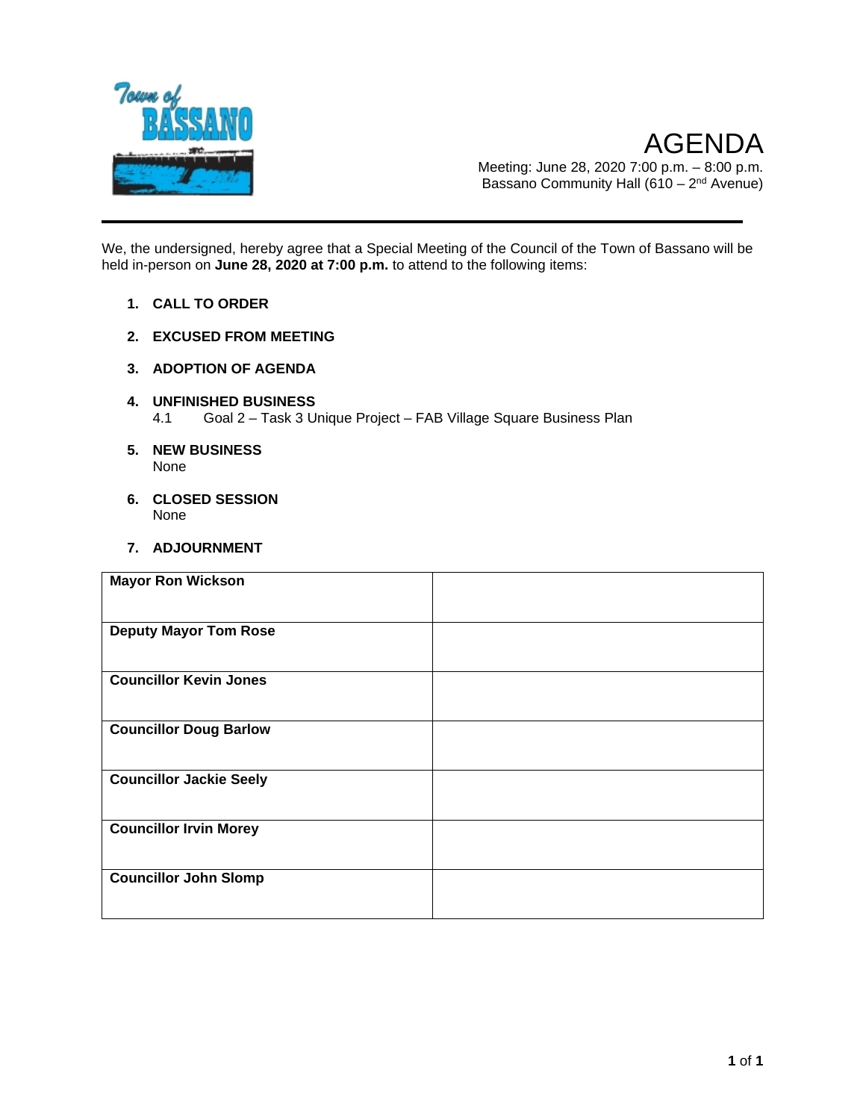

AGENDA Meeting: June 28, 2020 7:00 p.m. – 8:00 p.m. Bassano Community Hall (610 –  $2<sup>nd</sup>$  Avenue)

We, the undersigned, hereby agree that a Special Meeting of the Council of the Town of Bassano will be held in-person on **June 28, 2020 at 7:00 p.m.** to attend to the following items:

- **1. CALL TO ORDER**
- **2. EXCUSED FROM MEETING**
- **3. ADOPTION OF AGENDA**
- **4. UNFINISHED BUSINESS** 4.1 Goal 2 – Task 3 Unique Project – FAB Village Square Business Plan
- **5. NEW BUSINESS** None
- **6. CLOSED SESSION**  None
- **7. ADJOURNMENT**

| <b>Mayor Ron Wickson</b>       |  |
|--------------------------------|--|
| <b>Deputy Mayor Tom Rose</b>   |  |
| <b>Councillor Kevin Jones</b>  |  |
| <b>Councillor Doug Barlow</b>  |  |
| <b>Councillor Jackie Seely</b> |  |
| <b>Councillor Irvin Morey</b>  |  |
| <b>Councillor John Slomp</b>   |  |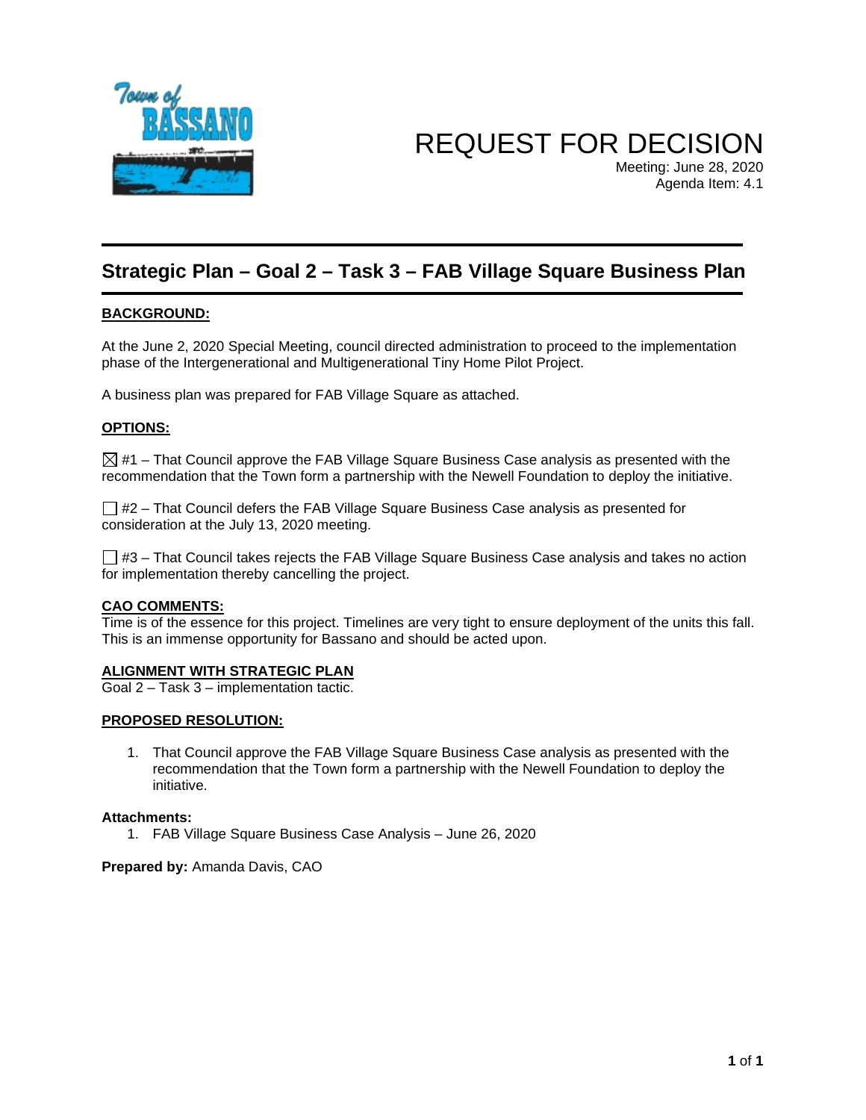

REQUEST FOR DECISION

Meeting: June 28, 2020 Agenda Item: 4.1

# **Strategic Plan – Goal 2 – Task 3 – FAB Village Square Business Plan**

#### **BACKGROUND:**

At the June 2, 2020 Special Meeting, council directed administration to proceed to the implementation phase of the Intergenerational and Multigenerational Tiny Home Pilot Project.

A business plan was prepared for FAB Village Square as attached.

#### **OPTIONS:**

 $\boxtimes$  #1 – That Council approve the FAB Village Square Business Case analysis as presented with the recommendation that the Town form a partnership with the Newell Foundation to deploy the initiative.

 $\Box$  #2 – That Council defers the FAB Village Square Business Case analysis as presented for consideration at the July 13, 2020 meeting.

 $\Box$  #3 – That Council takes rejects the FAB Village Square Business Case analysis and takes no action for implementation thereby cancelling the project.

#### **CAO COMMENTS:**

Time is of the essence for this project. Timelines are very tight to ensure deployment of the units this fall. This is an immense opportunity for Bassano and should be acted upon.

#### **ALIGNMENT WITH STRATEGIC PLAN**

Goal 2 – Task 3 – implementation tactic.

#### **PROPOSED RESOLUTION:**

1. That Council approve the FAB Village Square Business Case analysis as presented with the recommendation that the Town form a partnership with the Newell Foundation to deploy the initiative.

#### **Attachments:**

1. FAB Village Square Business Case Analysis – June 26, 2020

**Prepared by:** Amanda Davis, CAO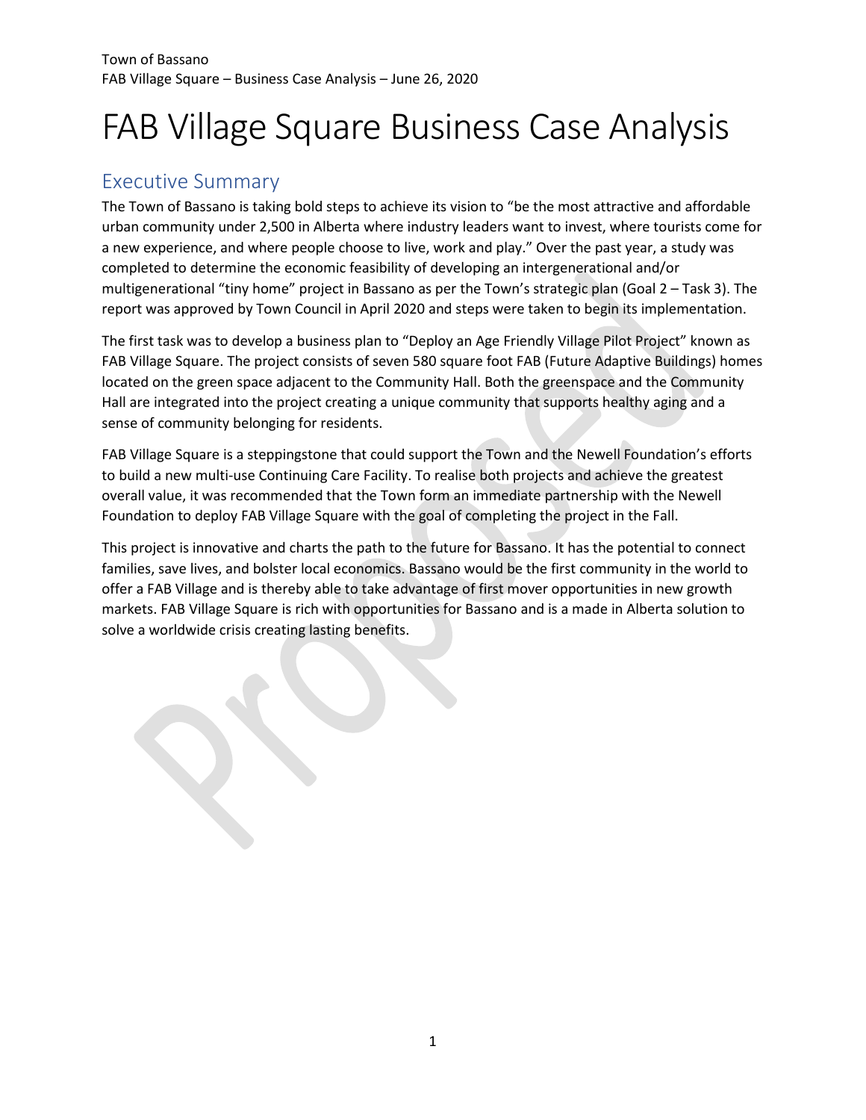# FAB Village Square Business Case Analysis

# <span id="page-2-0"></span>Executive Summary

The Town of Bassano is taking bold steps to achieve its vision to "be the most attractive and affordable urban community under 2,500 in Alberta where industry leaders want to invest, where tourists come for a new experience, and where people choose to live, work and play." Over the past year, a study was completed to determine the economic feasibility of developing an intergenerational and/or multigenerational "tiny home" project in Bassano as per the Town's strategic plan (Goal 2 – Task 3). The report was approved by Town Council in April 2020 and steps were taken to begin its implementation.

The first task was to develop a business plan to "Deploy an Age Friendly Village Pilot Project" known as FAB Village Square. The project consists of seven 580 square foot FAB (Future Adaptive Buildings) homes located on the green space adjacent to the Community Hall. Both the greenspace and the Community Hall are integrated into the project creating a unique community that supports healthy aging and a sense of community belonging for residents.

FAB Village Square is a steppingstone that could support the Town and the Newell Foundation's efforts to build a new multi-use Continuing Care Facility. To realise both projects and achieve the greatest overall value, it was recommended that the Town form an immediate partnership with the Newell Foundation to deploy FAB Village Square with the goal of completing the project in the Fall.

This project is innovative and charts the path to the future for Bassano. It has the potential to connect families, save lives, and bolster local economics. Bassano would be the first community in the world to offer a FAB Village and is thereby able to take advantage of first mover opportunities in new growth markets. FAB Village Square is rich with opportunities for Bassano and is a made in Alberta solution to solve a worldwide crisis creating lasting benefits.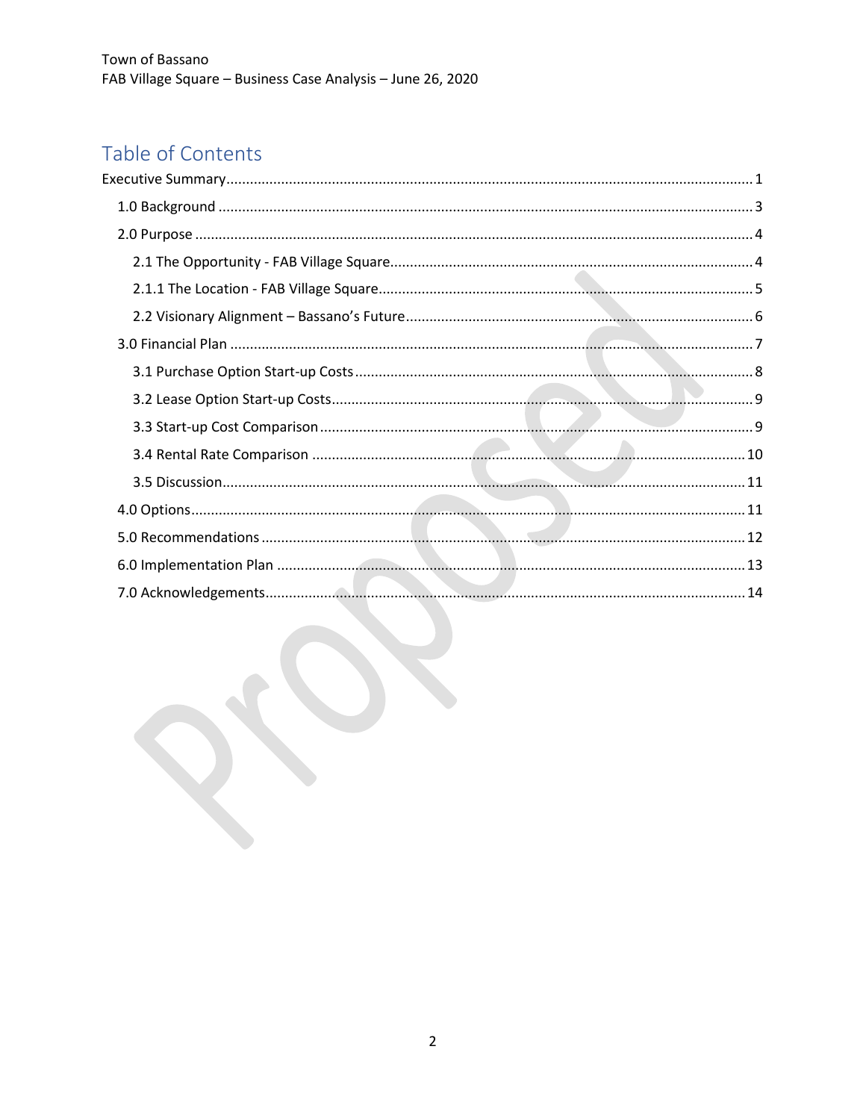# Table of Contents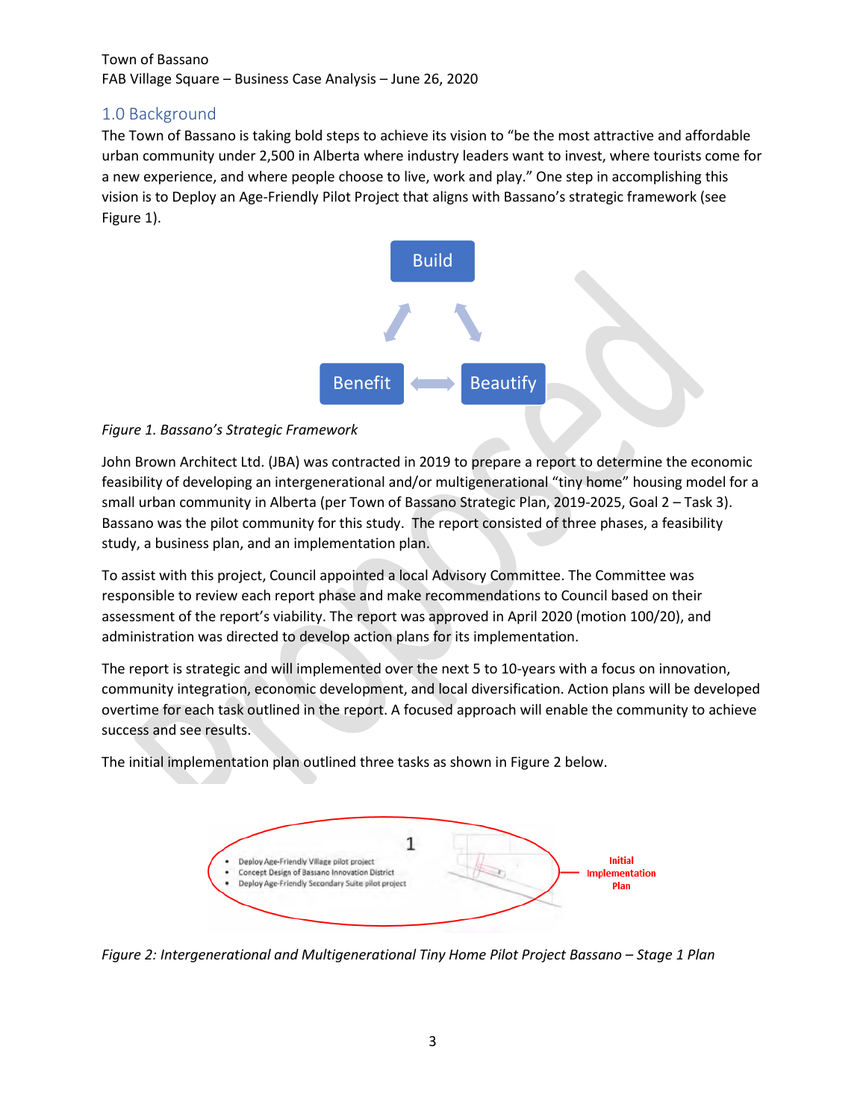# <span id="page-4-0"></span>1.0 Background

The Town of Bassano is taking bold steps to achieve its vision to "be the most attractive and affordable urban community under 2,500 in Alberta where industry leaders want to invest, where tourists come for a new experience, and where people choose to live, work and play." One step in accomplishing this vision is to Deploy an Age-Friendly Pilot Project that aligns with Bassano's strategic framework (see Figure 1).



#### *Figure 1. Bassano's Strategic Framework*

John Brown Architect Ltd. (JBA) was contracted in 2019 to prepare a report to determine the economic feasibility of developing an intergenerational and/or multigenerational "tiny home" housing model for a small urban community in Alberta (per Town of Bassano Strategic Plan, 2019-2025, Goal 2 – Task 3). Bassano was the pilot community for this study. The report consisted of three phases, a feasibility study, a business plan, and an implementation plan.

To assist with this project, Council appointed a local Advisory Committee. The Committee was responsible to review each report phase and make recommendations to Council based on their assessment of the report's viability. The report was approved in April 2020 (motion 100/20), and administration was directed to develop action plans for its implementation.

The report is strategic and will implemented over the next 5 to 10-years with a focus on innovation, community integration, economic development, and local diversification. Action plans will be developed overtime for each task outlined in the report. A focused approach will enable the community to achieve success and see results.

The initial implementation plan outlined three tasks as shown in Figure 2 below.



*Figure 2: Intergenerational and Multigenerational Tiny Home Pilot Project Bassano – Stage 1 Plan*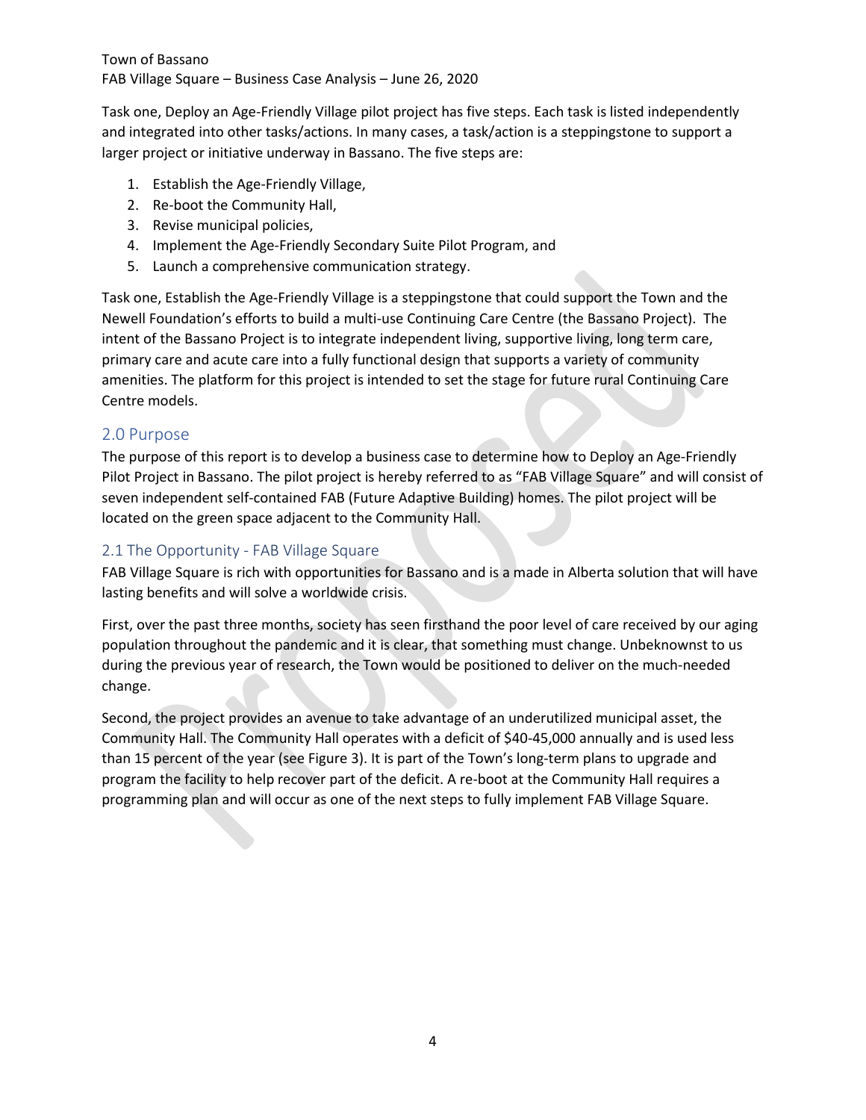Task one, Deploy an Age-Friendly Village pilot project has five steps. Each task is listed independently and integrated into other tasks/actions. In many cases, a task/action is a steppingstone to support a larger project or initiative underway in Bassano. The five steps are:

- 1. Establish the Age-Friendly Village,
- 2. Re-boot the Community Hall,
- 3. Revise municipal policies,
- 4. Implement the Age-Friendly Secondary Suite Pilot Program, and
- 5. Launch a comprehensive communication strategy.

Task one, Establish the Age-Friendly Village is a steppingstone that could support the Town and the Newell Foundation's efforts to build a multi-use Continuing Care Centre (the Bassano Project). The intent of the Bassano Project is to integrate independent living, supportive living, long term care, primary care and acute care into a fully functional design that supports a variety of community amenities. The platform for this project is intended to set the stage for future rural Continuing Care Centre models.

#### <span id="page-5-0"></span>2.0 Purpose

The purpose of this report is to develop a business case to determine how to Deploy an Age-Friendly Pilot Project in Bassano. The pilot project is hereby referred to as "FAB Village Square" and will consist of seven independent self-contained FAB (Future Adaptive Building) homes. The pilot project will be located on the green space adjacent to the Community Hall.

#### <span id="page-5-1"></span>2.1 The Opportunity - FAB Village Square

FAB Village Square is rich with opportunities for Bassano and is a made in Alberta solution that will have lasting benefits and will solve a worldwide crisis.

First, over the past three months, society has seen firsthand the poor level of care received by our aging population throughout the pandemic and it is clear, that something must change. Unbeknownst to us during the previous year of research, the Town would be positioned to deliver on the much-needed change.

Second, the project provides an avenue to take advantage of an underutilized municipal asset, the Community Hall. The Community Hall operates with a deficit of \$40-45,000 annually and is used less than 15 percent of the year (see Figure 3). It is part of the Town's long-term plans to upgrade and program the facility to help recover part of the deficit. A re-boot at the Community Hall requires a programming plan and will occur as one of the next steps to fully implement FAB Village Square.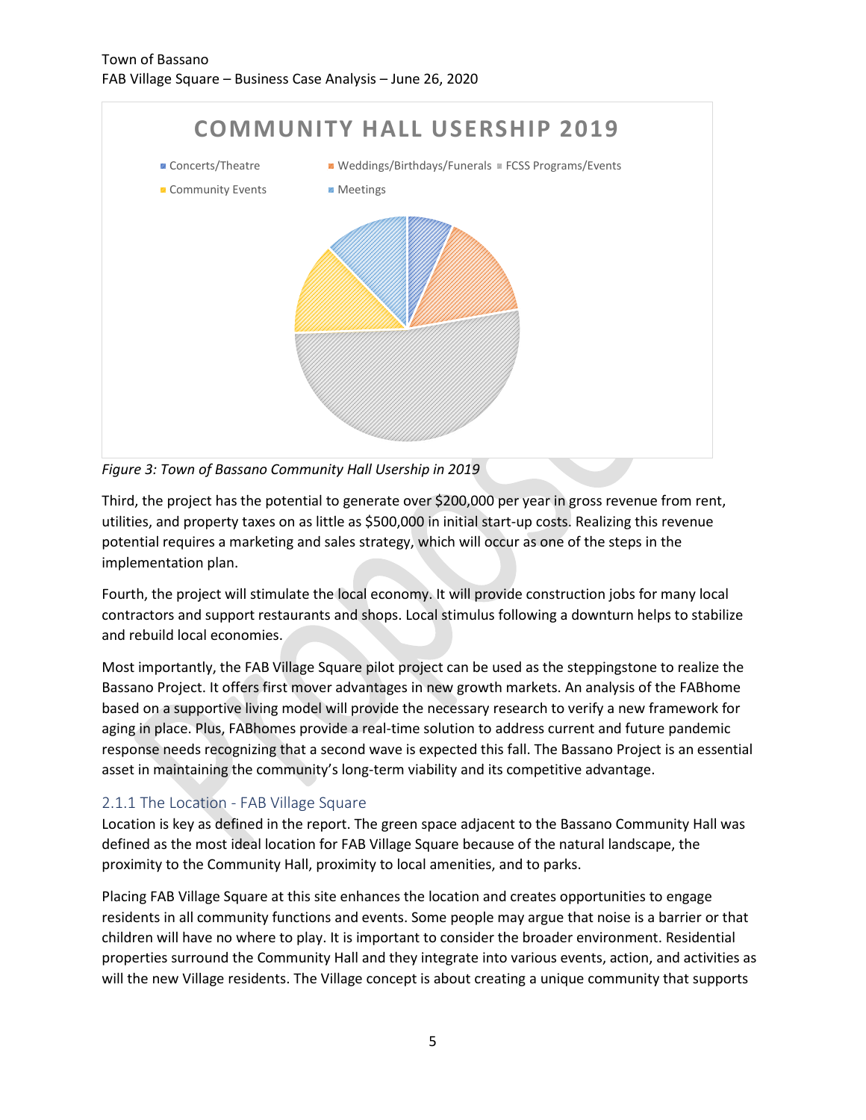

*Figure 3: Town of Bassano Community Hall Usership in 2019*

Third, the project has the potential to generate over \$200,000 per year in gross revenue from rent, utilities, and property taxes on as little as \$500,000 in initial start-up costs. Realizing this revenue potential requires a marketing and sales strategy, which will occur as one of the steps in the implementation plan.

Fourth, the project will stimulate the local economy. It will provide construction jobs for many local contractors and support restaurants and shops. Local stimulus following a downturn helps to stabilize and rebuild local economies.

Most importantly, the FAB Village Square pilot project can be used as the steppingstone to realize the Bassano Project. It offers first mover advantages in new growth markets. An analysis of the FABhome based on a supportive living model will provide the necessary research to verify a new framework for aging in place. Plus, FABhomes provide a real-time solution to address current and future pandemic response needs recognizing that a second wave is expected this fall. The Bassano Project is an essential asset in maintaining the community's long-term viability and its competitive advantage.

### <span id="page-6-0"></span>2.1.1 The Location - FAB Village Square

Location is key as defined in the report. The green space adjacent to the Bassano Community Hall was defined as the most ideal location for FAB Village Square because of the natural landscape, the proximity to the Community Hall, proximity to local amenities, and to parks.

Placing FAB Village Square at this site enhances the location and creates opportunities to engage residents in all community functions and events. Some people may argue that noise is a barrier or that children will have no where to play. It is important to consider the broader environment. Residential properties surround the Community Hall and they integrate into various events, action, and activities as will the new Village residents. The Village concept is about creating a unique community that supports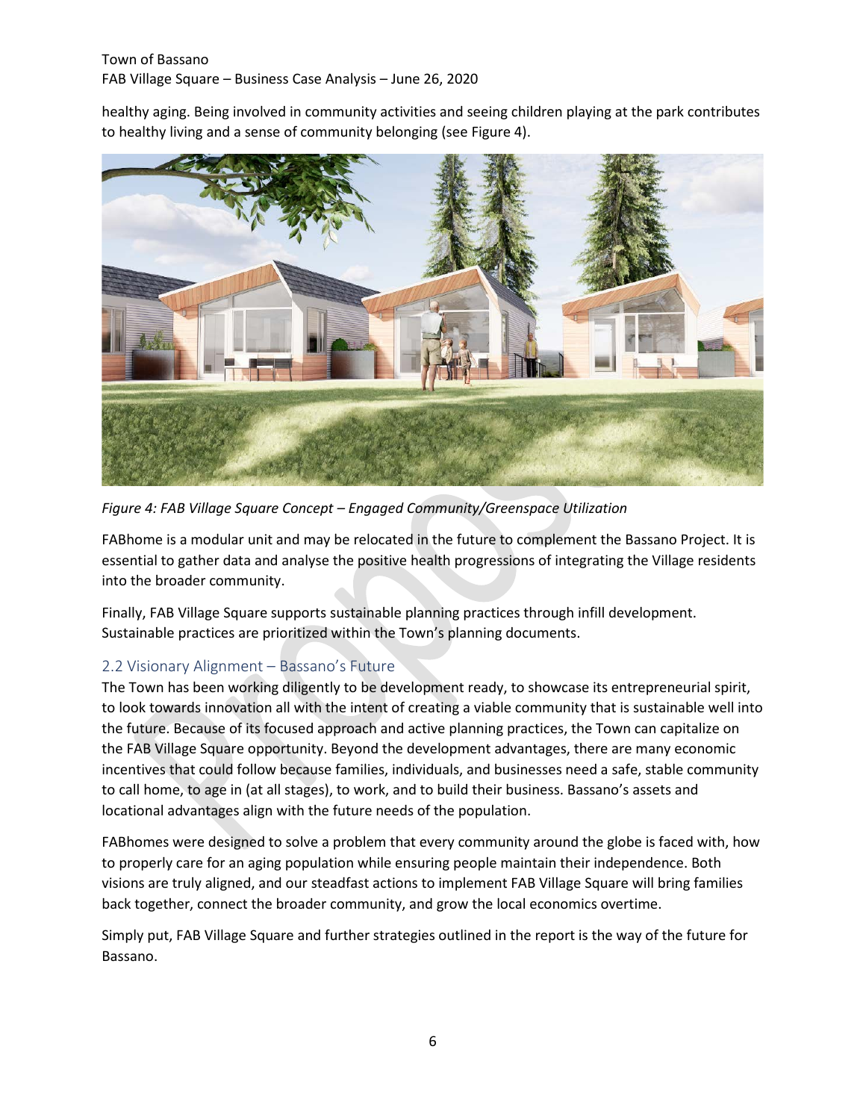healthy aging. Being involved in community activities and seeing children playing at the park contributes to healthy living and a sense of community belonging (see Figure 4).



*Figure 4: FAB Village Square Concept – Engaged Community/Greenspace Utilization* 

FABhome is a modular unit and may be relocated in the future to complement the Bassano Project. It is essential to gather data and analyse the positive health progressions of integrating the Village residents into the broader community.

Finally, FAB Village Square supports sustainable planning practices through infill development. Sustainable practices are prioritized within the Town's planning documents.

### <span id="page-7-0"></span>2.2 Visionary Alignment – Bassano's Future

The Town has been working diligently to be development ready, to showcase its entrepreneurial spirit, to look towards innovation all with the intent of creating a viable community that is sustainable well into the future. Because of its focused approach and active planning practices, the Town can capitalize on the FAB Village Square opportunity. Beyond the development advantages, there are many economic incentives that could follow because families, individuals, and businesses need a safe, stable community to call home, to age in (at all stages), to work, and to build their business. Bassano's assets and locational advantages align with the future needs of the population.

FABhomes were designed to solve a problem that every community around the globe is faced with, how to properly care for an aging population while ensuring people maintain their independence. Both visions are truly aligned, and our steadfast actions to implement FAB Village Square will bring families back together, connect the broader community, and grow the local economics overtime.

Simply put, FAB Village Square and further strategies outlined in the report is the way of the future for Bassano.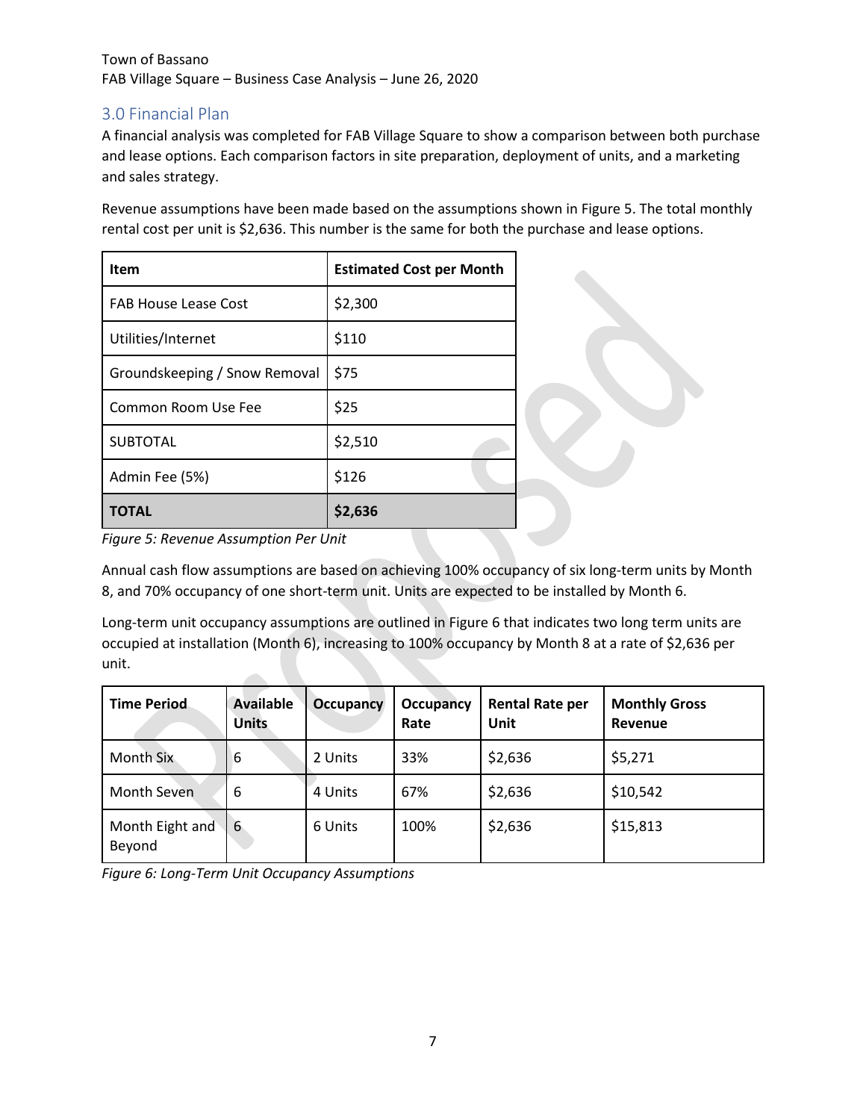## <span id="page-8-0"></span>3.0 Financial Plan

A financial analysis was completed for FAB Village Square to show a comparison between both purchase and lease options. Each comparison factors in site preparation, deployment of units, and a marketing and sales strategy.

Revenue assumptions have been made based on the assumptions shown in Figure 5. The total monthly rental cost per unit is \$2,636. This number is the same for both the purchase and lease options.

| Item                          | <b>Estimated Cost per Month</b> |  |
|-------------------------------|---------------------------------|--|
| <b>FAB House Lease Cost</b>   | \$2,300                         |  |
| Utilities/Internet            | \$110                           |  |
| Groundskeeping / Snow Removal | \$75                            |  |
| Common Room Use Fee           | \$25                            |  |
| <b>SUBTOTAL</b>               | \$2,510                         |  |
| Admin Fee (5%)                | \$126                           |  |
| <b>TOTAL</b>                  | \$2,636                         |  |

*Figure 5: Revenue Assumption Per Unit* 

Annual cash flow assumptions are based on achieving 100% occupancy of six long-term units by Month 8, and 70% occupancy of one short-term unit. Units are expected to be installed by Month 6.

Long-term unit occupancy assumptions are outlined in Figure 6 that indicates two long term units are occupied at installation (Month 6), increasing to 100% occupancy by Month 8 at a rate of \$2,636 per unit.  $\sim$ 

| <b>Time Period</b>        | <b>Available</b><br><b>Units</b> | <b>Occupancy</b> | <b>Occupancy</b><br>Rate | <b>Rental Rate per</b><br>Unit | <b>Monthly Gross</b><br>Revenue |
|---------------------------|----------------------------------|------------------|--------------------------|--------------------------------|---------------------------------|
| Month Six                 | 6                                | 2 Units          | 33%                      | \$2,636                        | \$5,271                         |
| <b>Month Seven</b>        | 6                                | 4 Units          | 67%                      | \$2,636                        | \$10,542                        |
| Month Eight and<br>Beyond | 6                                | 6 Units          | 100%                     | \$2,636                        | \$15,813                        |

*Figure 6: Long-Term Unit Occupancy Assumptions*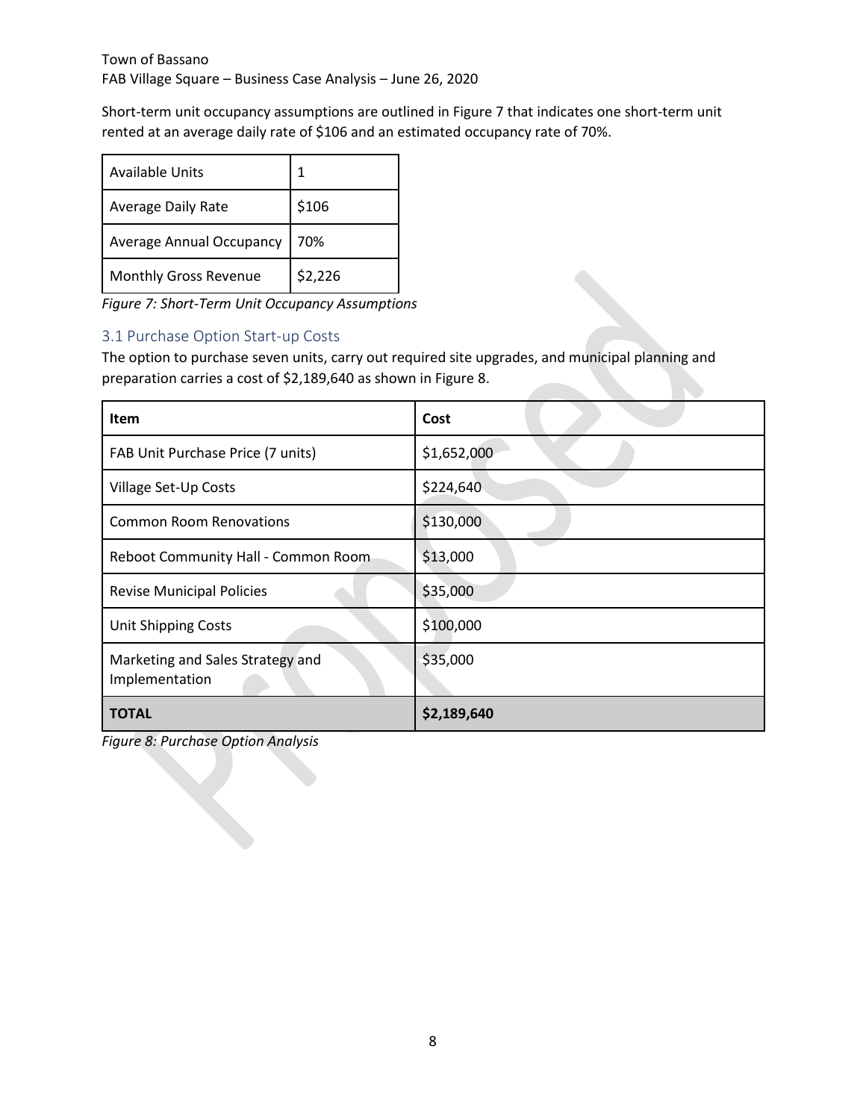Short-term unit occupancy assumptions are outlined in Figure 7 that indicates one short-term unit rented at an average daily rate of \$106 and an estimated occupancy rate of 70%.

| Available Units                 |         |
|---------------------------------|---------|
| <b>Average Daily Rate</b>       | \$106   |
| <b>Average Annual Occupancy</b> | 70%     |
| Monthly Gross Revenue           | \$2,226 |

*Figure 7: Short-Term Unit Occupancy Assumptions*

#### <span id="page-9-0"></span>3.1 Purchase Option Start-up Costs

The option to purchase seven units, carry out required site upgrades, and municipal planning and preparation carries a cost of \$2,189,640 as shown in Figure 8.

| <b>Item</b>                                        | Cost        |  |
|----------------------------------------------------|-------------|--|
| FAB Unit Purchase Price (7 units)                  | \$1,652,000 |  |
| Village Set-Up Costs                               | \$224,640   |  |
| <b>Common Room Renovations</b>                     | \$130,000   |  |
| Reboot Community Hall - Common Room                | \$13,000    |  |
| <b>Revise Municipal Policies</b>                   | \$35,000    |  |
| Unit Shipping Costs                                | \$100,000   |  |
| Marketing and Sales Strategy and<br>Implementation | \$35,000    |  |
| <b>TOTAL</b>                                       | \$2,189,640 |  |

*Figure 8: Purchase Option Analysis*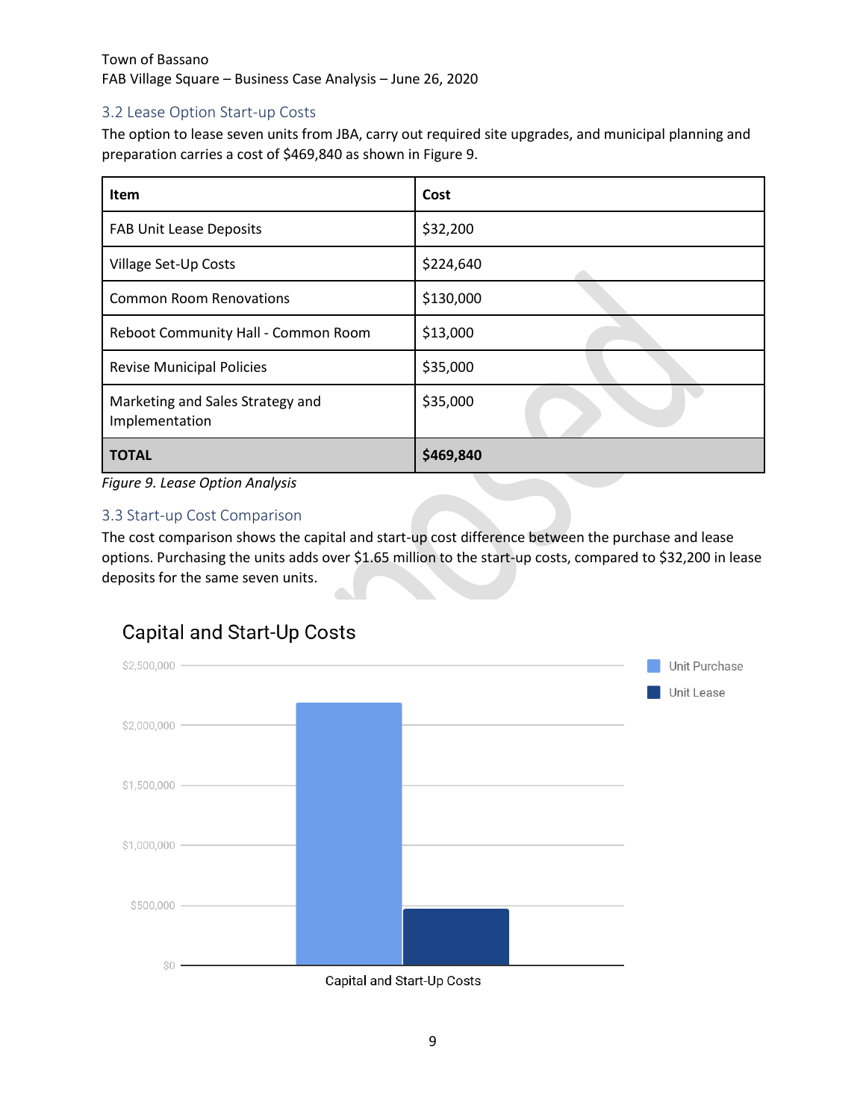#### <span id="page-10-0"></span>3.2 Lease Option Start-up Costs

The option to lease seven units from JBA, carry out required site upgrades, and municipal planning and preparation carries a cost of \$469,840 as shown in Figure 9.

| <b>Item</b>                                        | Cost      |
|----------------------------------------------------|-----------|
| <b>FAB Unit Lease Deposits</b>                     | \$32,200  |
| Village Set-Up Costs                               | \$224,640 |
| <b>Common Room Renovations</b>                     | \$130,000 |
| Reboot Community Hall - Common Room                | \$13,000  |
| <b>Revise Municipal Policies</b>                   | \$35,000  |
| Marketing and Sales Strategy and<br>Implementation | \$35,000  |
| <b>TOTAL</b>                                       | \$469,840 |

*Figure 9. Lease Option Analysis* 

#### <span id="page-10-1"></span>3.3 Start-up Cost Comparison

The cost comparison shows the capital and start-up cost difference between the purchase and lease options. Purchasing the units adds over \$1.65 million to the start-up costs, compared to \$32,200 in lease deposits for the same seven units.



# **Capital and Start-Up Costs**

Capital and Start-Up Costs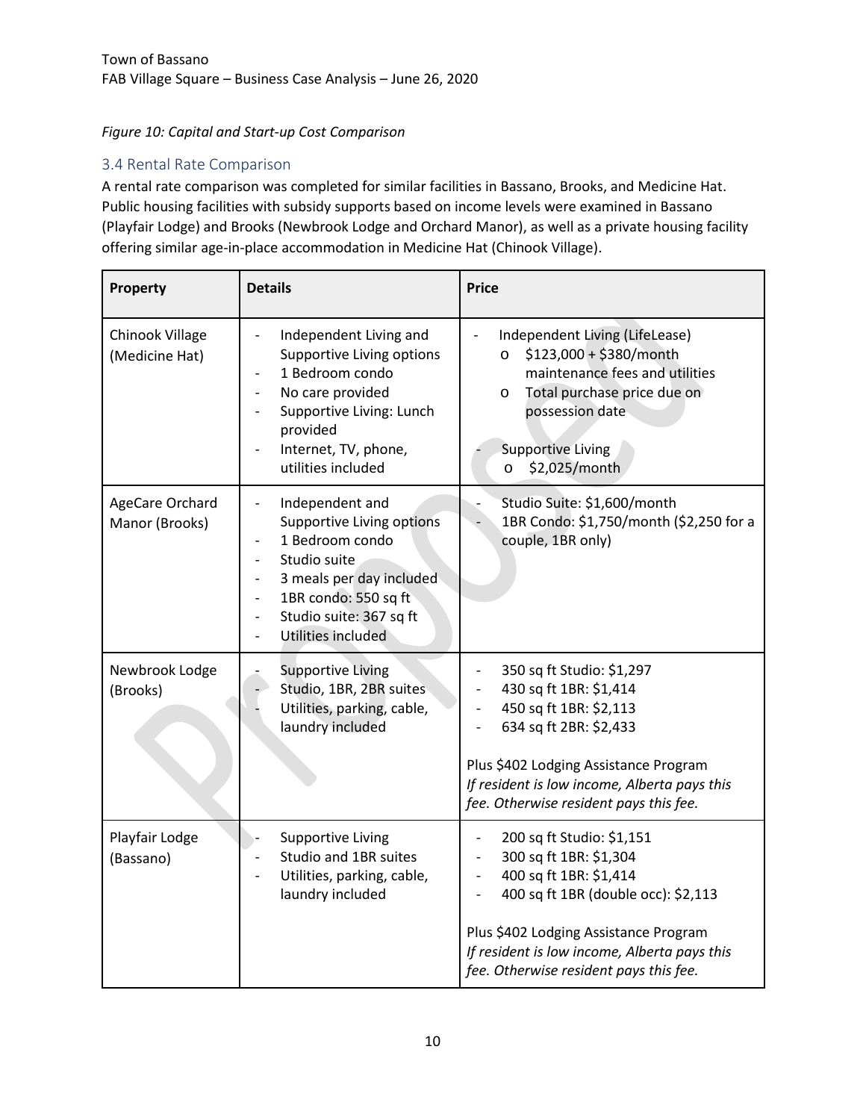#### *Figure 10: Capital and Start-up Cost Comparison*

#### <span id="page-11-0"></span>3.4 Rental Rate Comparison

A rental rate comparison was completed for similar facilities in Bassano, Brooks, and Medicine Hat. Public housing facilities with subsidy supports based on income levels were examined in Bassano (Playfair Lodge) and Brooks (Newbrook Lodge and Orchard Manor), as well as a private housing facility offering similar age-in-place accommodation in Medicine Hat (Chinook Village).

| Property                          | <b>Details</b>                                                                                                                                                                                                                                                                                                                | <b>Price</b>                                                                                                                                                                                                                                                                                          |  |
|-----------------------------------|-------------------------------------------------------------------------------------------------------------------------------------------------------------------------------------------------------------------------------------------------------------------------------------------------------------------------------|-------------------------------------------------------------------------------------------------------------------------------------------------------------------------------------------------------------------------------------------------------------------------------------------------------|--|
| Chinook Village<br>(Medicine Hat) | Independent Living and<br>Supportive Living options<br>1 Bedroom condo<br>No care provided<br>$\qquad \qquad -$<br>Supportive Living: Lunch<br>$\overline{\phantom{a}}$<br>provided<br>Internet, TV, phone,<br>utilities included                                                                                             | Independent Living (LifeLease)<br>$\circ$ \$123,000 + \$380/month<br>maintenance fees and utilities<br>Total purchase price due on<br>$\circ$<br>possession date<br><b>Supportive Living</b><br>\$2,025/month<br>$\circ$                                                                              |  |
| AgeCare Orchard<br>Manor (Brooks) | Independent and<br>$\overline{\phantom{a}}$<br>Supportive Living options<br>1 Bedroom condo<br>$\qquad \qquad \blacksquare$<br>Studio suite<br>$\overline{a}$<br>3 meals per day included<br>$\frac{1}{2}$<br>1BR condo: 550 sq ft<br>$\qquad \qquad -$<br>Studio suite: 367 sq ft<br>$\qquad \qquad -$<br>Utilities included | Studio Suite: \$1,600/month<br>1BR Condo: \$1,750/month (\$2,250 for a<br>couple, 1BR only)                                                                                                                                                                                                           |  |
| Newbrook Lodge<br>(Brooks)        | <b>Supportive Living</b><br>Studio, 1BR, 2BR suites<br>Utilities, parking, cable,<br>laundry included                                                                                                                                                                                                                         | 350 sq ft Studio: \$1,297<br>430 sq ft 1BR: \$1,414<br>450 sq ft 1BR: \$2,113<br>634 sq ft 2BR: \$2,433<br>Plus \$402 Lodging Assistance Program<br>If resident is low income, Alberta pays this<br>fee. Otherwise resident pays this fee.                                                            |  |
| Playfair Lodge<br>(Bassano)       | <b>Supportive Living</b><br>Studio and 1BR suites<br>Utilities, parking, cable,<br>laundry included                                                                                                                                                                                                                           | 200 sq ft Studio: \$1,151<br>$\overline{\phantom{m}}$<br>300 sq ft 1BR: \$1,304<br>400 sq ft 1BR: \$1,414<br>$\blacksquare$<br>400 sq ft 1BR (double occ): \$2,113<br>Plus \$402 Lodging Assistance Program<br>If resident is low income, Alberta pays this<br>fee. Otherwise resident pays this fee. |  |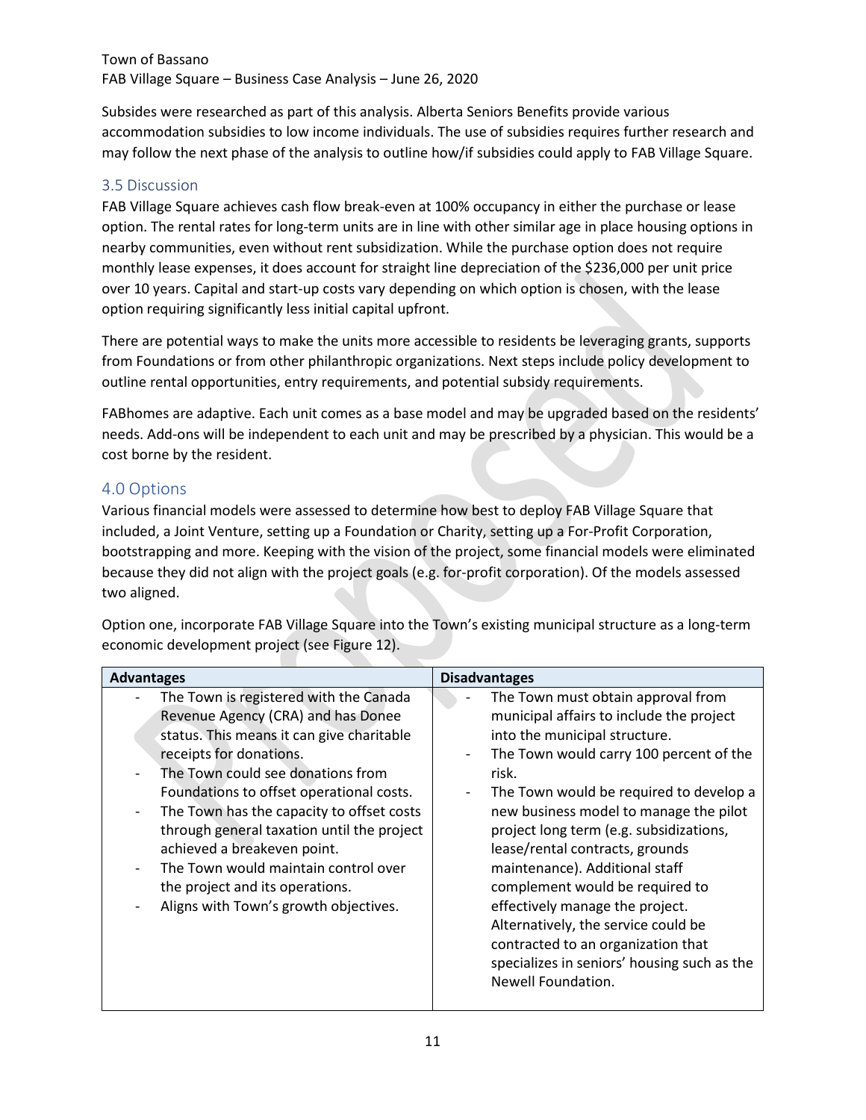Subsides were researched as part of this analysis. Alberta Seniors Benefits provide various accommodation subsidies to low income individuals. The use of subsidies requires further research and may follow the next phase of the analysis to outline how/if subsidies could apply to FAB Village Square.

#### <span id="page-12-0"></span>3.5 Discussion

FAB Village Square achieves cash flow break-even at 100% occupancy in either the purchase or lease option. The rental rates for long-term units are in line with other similar age in place housing options in nearby communities, even without rent subsidization. While the purchase option does not require monthly lease expenses, it does account for straight line depreciation of the \$236,000 per unit price over 10 years. Capital and start-up costs vary depending on which option is chosen, with the lease option requiring significantly less initial capital upfront.

There are potential ways to make the units more accessible to residents be leveraging grants, supports from Foundations or from other philanthropic organizations. Next steps include policy development to outline rental opportunities, entry requirements, and potential subsidy requirements.

FABhomes are adaptive. Each unit comes as a base model and may be upgraded based on the residents' needs. Add-ons will be independent to each unit and may be prescribed by a physician. This would be a cost borne by the resident.

#### <span id="page-12-1"></span>4.0 Options

Various financial models were assessed to determine how best to deploy FAB Village Square that included, a Joint Venture, setting up a Foundation or Charity, setting up a For-Profit Corporation, bootstrapping and more. Keeping with the vision of the project, some financial models were eliminated because they did not align with the project goals (e.g. for-profit corporation). Of the models assessed two aligned.

Option one, incorporate FAB Village Square into the Town's existing municipal structure as a long-term economic development project (see Figure 12).

| <b>Advantages</b>                                                                                                                                                                                                                                                                                                                                                                                                                                                                                                                           | <b>Disadvantages</b>                                                                                                                                                                                                                                                                                                                                                                                                                                                                                                                                                                                                                                     |
|---------------------------------------------------------------------------------------------------------------------------------------------------------------------------------------------------------------------------------------------------------------------------------------------------------------------------------------------------------------------------------------------------------------------------------------------------------------------------------------------------------------------------------------------|----------------------------------------------------------------------------------------------------------------------------------------------------------------------------------------------------------------------------------------------------------------------------------------------------------------------------------------------------------------------------------------------------------------------------------------------------------------------------------------------------------------------------------------------------------------------------------------------------------------------------------------------------------|
| The Town is registered with the Canada<br>Revenue Agency (CRA) and has Donee<br>status. This means it can give charitable<br>receipts for donations.<br>The Town could see donations from<br>Foundations to offset operational costs.<br>The Town has the capacity to offset costs<br>$\overline{\phantom{a}}$<br>through general taxation until the project<br>achieved a breakeven point.<br>The Town would maintain control over<br>$\overline{\phantom{a}}$<br>the project and its operations.<br>Aligns with Town's growth objectives. | The Town must obtain approval from<br>municipal affairs to include the project<br>into the municipal structure.<br>The Town would carry 100 percent of the<br>$\overline{\phantom{a}}$<br>risk.<br>The Town would be required to develop a<br>$\overline{\phantom{a}}$<br>new business model to manage the pilot<br>project long term (e.g. subsidizations,<br>lease/rental contracts, grounds<br>maintenance). Additional staff<br>complement would be required to<br>effectively manage the project.<br>Alternatively, the service could be<br>contracted to an organization that<br>specializes in seniors' housing such as the<br>Newell Foundation. |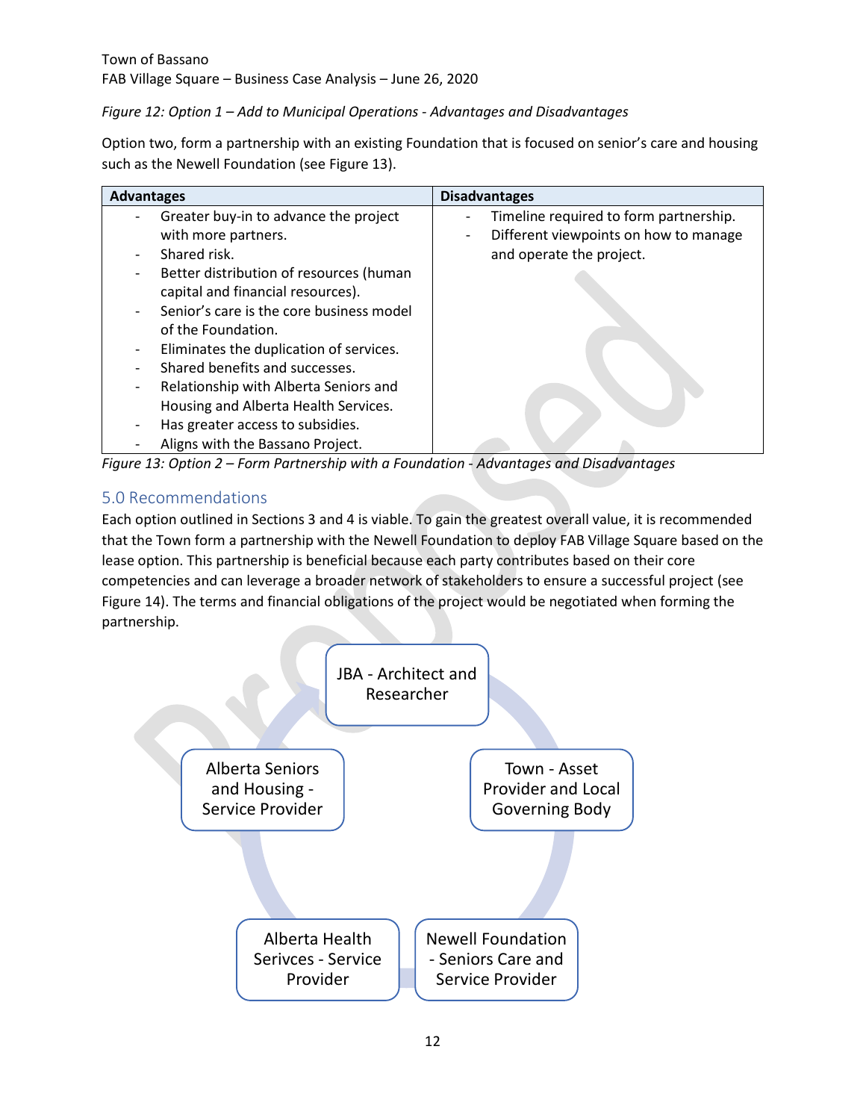*Figure 12: Option 1 – Add to Municipal Operations - Advantages and Disadvantages*

Option two, form a partnership with an existing Foundation that is focused on senior's care and housing such as the Newell Foundation (see Figure 13).

| <b>Advantages</b> |                                          | <b>Disadvantages</b>                   |
|-------------------|------------------------------------------|----------------------------------------|
|                   | Greater buy-in to advance the project    | Timeline required to form partnership. |
|                   | with more partners.                      | Different viewpoints on how to manage  |
|                   | Shared risk.                             | and operate the project.               |
|                   | Better distribution of resources (human  |                                        |
|                   | capital and financial resources).        |                                        |
|                   | Senior's care is the core business model |                                        |
|                   | of the Foundation.                       |                                        |
|                   | Eliminates the duplication of services.  |                                        |
|                   | Shared benefits and successes.           |                                        |
| -                 | Relationship with Alberta Seniors and    |                                        |
|                   | Housing and Alberta Health Services.     |                                        |
|                   | Has greater access to subsidies.         |                                        |
|                   | Aligns with the Bassano Project.         |                                        |

*Figure 13: Option 2 – Form Partnership with a Foundation - Advantages and Disadvantages*

# <span id="page-13-0"></span>5.0 Recommendations

Each option outlined in Sections 3 and 4 is viable. To gain the greatest overall value, it is recommended that the Town form a partnership with the Newell Foundation to deploy FAB Village Square based on the lease option. This partnership is beneficial because each party contributes based on their core competencies and can leverage a broader network of stakeholders to ensure a successful project (see Figure 14). The terms and financial obligations of the project would be negotiated when forming the partnership.

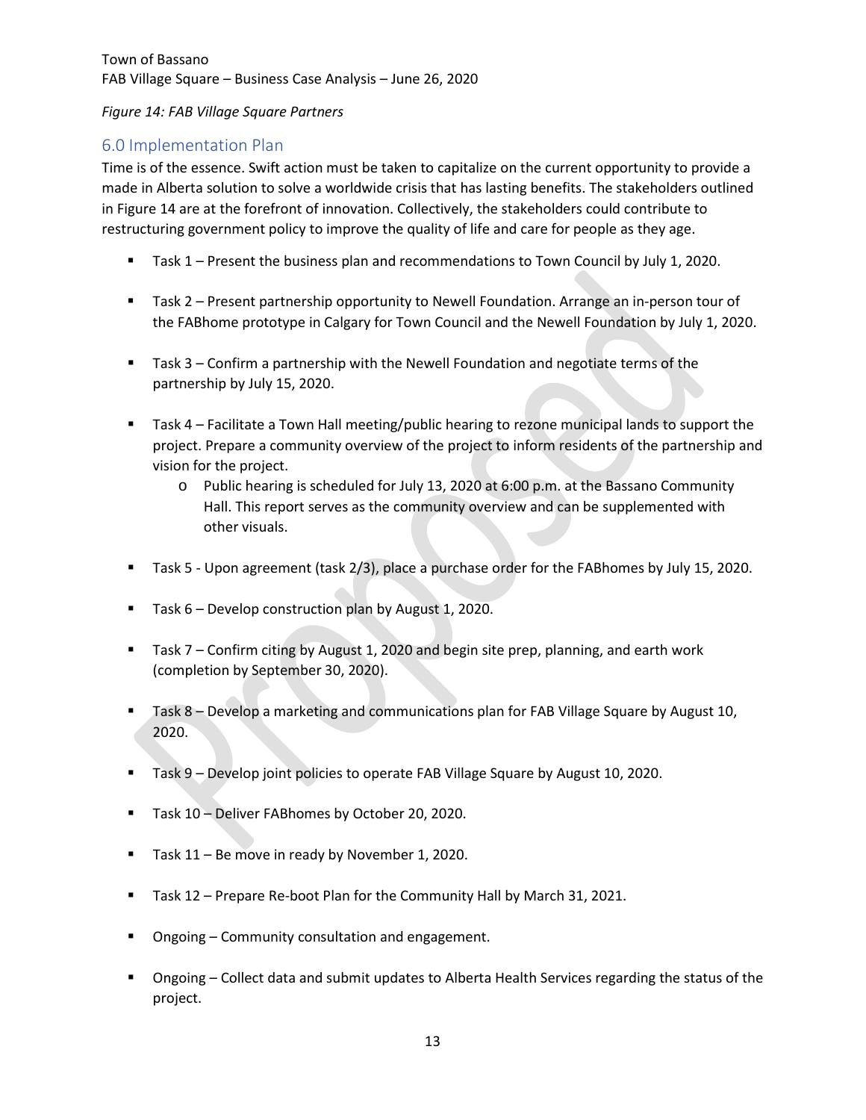*Figure 14: FAB Village Square Partners*

# <span id="page-14-0"></span>6.0 Implementation Plan

Time is of the essence. Swift action must be taken to capitalize on the current opportunity to provide a made in Alberta solution to solve a worldwide crisis that has lasting benefits. The stakeholders outlined in Figure 14 are at the forefront of innovation. Collectively, the stakeholders could contribute to restructuring government policy to improve the quality of life and care for people as they age.

- **Task 1** Present the business plan and recommendations to Town Council by July 1, 2020.
- Task 2 Present partnership opportunity to Newell Foundation. Arrange an in-person tour of the FABhome prototype in Calgary for Town Council and the Newell Foundation by July 1, 2020.
- Task 3 Confirm a partnership with the Newell Foundation and negotiate terms of the partnership by July 15, 2020.
- Task 4 Facilitate a Town Hall meeting/public hearing to rezone municipal lands to support the project. Prepare a community overview of the project to inform residents of the partnership and vision for the project.
	- o Public hearing is scheduled for July 13, 2020 at 6:00 p.m. at the Bassano Community Hall. This report serves as the community overview and can be supplemented with other visuals.
- Task 5 Upon agreement (task 2/3), place a purchase order for the FABhomes by July 15, 2020.
- Task 6 Develop construction plan by August 1, 2020.
- Task 7 Confirm citing by August 1, 2020 and begin site prep, planning, and earth work (completion by September 30, 2020).
- **Task 8 Develop a marketing and communications plan for FAB Village Square by August 10,** 2020.
- **Task 9 Develop joint policies to operate FAB Village Square by August 10, 2020.**
- **Task 10 Deliver FABhomes by October 20, 2020.**
- Task 11 Be move in ready by November 1, 2020.
- Task 12 Prepare Re-boot Plan for the Community Hall by March 31, 2021.
- Ongoing Community consultation and engagement.
- Ongoing Collect data and submit updates to Alberta Health Services regarding the status of the project.